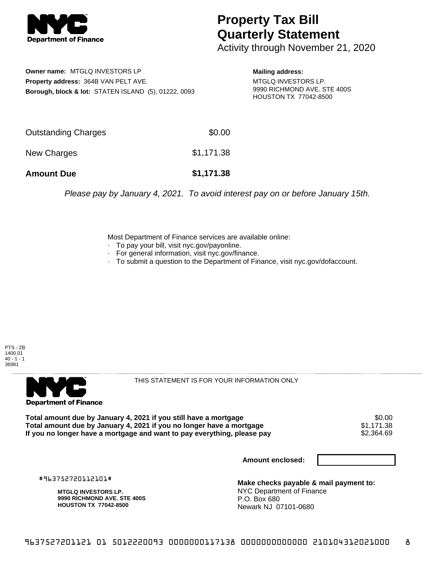

## **Property Tax Bill Quarterly Statement**

Activity through November 21, 2020

**Owner name:** MTGLQ INVESTORS LP **Property address:** 364B VAN PELT AVE. **Borough, block & lot:** STATEN ISLAND (5), 01222, 0093

**Mailing address:** MTGLQ INVESTORS LP. 9990 RICHMOND AVE. STE 400S HOUSTON TX 77042-8500

| <b>Amount Due</b>   | \$1,171.38 |
|---------------------|------------|
| New Charges         | \$1,171.38 |
| Outstanding Charges | \$0.00     |

Please pay by January 4, 2021. To avoid interest pay on or before January 15th.

Most Department of Finance services are available online:

- · To pay your bill, visit nyc.gov/payonline.
- For general information, visit nyc.gov/finance.
- · To submit a question to the Department of Finance, visit nyc.gov/dofaccount.





THIS STATEMENT IS FOR YOUR INFORMATION ONLY

Total amount due by January 4, 2021 if you still have a mortgage **\$0.00** \$0.00<br>Total amount due by January 4, 2021 if you no longer have a mortgage **\$1.171.38 Total amount due by January 4, 2021 if you no longer have a mortgage**  $$1,171.38$ **<br>If you no longer have a mortgage and want to pay everything, please pay**  $$2,364.69$ If you no longer have a mortgage and want to pay everything, please pay

**Amount enclosed:**

#963752720112101#

**MTGLQ INVESTORS LP. 9990 RICHMOND AVE. STE 400S HOUSTON TX 77042-8500**

**Make checks payable & mail payment to:** NYC Department of Finance P.O. Box 680 Newark NJ 07101-0680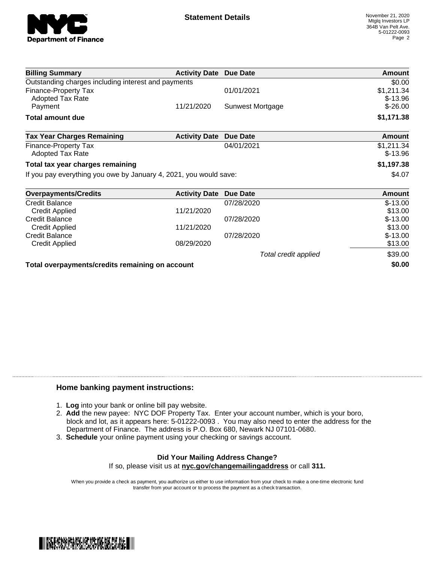

| <b>Billing Summary</b>                                            | <b>Activity Date Due Date</b> |                      | Amount        |
|-------------------------------------------------------------------|-------------------------------|----------------------|---------------|
| Outstanding charges including interest and payments               |                               |                      | \$0.00        |
| <b>Finance-Property Tax</b>                                       |                               | 01/01/2021           | \$1,211.34    |
| Adopted Tax Rate                                                  |                               |                      | $$-13.96$     |
| Payment                                                           | 11/21/2020                    | Sunwest Mortgage     | $$ -26.00$    |
| <b>Total amount due</b>                                           |                               |                      | \$1,171.38    |
| <b>Tax Year Charges Remaining</b>                                 | <b>Activity Date</b>          | <b>Due Date</b>      | <b>Amount</b> |
| Finance-Property Tax                                              |                               | 04/01/2021           | \$1,211.34    |
| Adopted Tax Rate                                                  |                               |                      | $$-13.96$     |
| Total tax year charges remaining                                  |                               |                      | \$1,197.38    |
| If you pay everything you owe by January 4, 2021, you would save: |                               |                      | \$4.07        |
| <b>Overpayments/Credits</b>                                       | <b>Activity Date</b>          | <b>Due Date</b>      | Amount        |
| <b>Credit Balance</b>                                             |                               | 07/28/2020           | $$-13.00$     |
| <b>Credit Applied</b>                                             | 11/21/2020                    |                      | \$13.00       |
| <b>Credit Balance</b>                                             |                               | 07/28/2020           | $$-13.00$     |
| <b>Credit Applied</b>                                             | 11/21/2020                    |                      | \$13.00       |
| <b>Credit Balance</b>                                             |                               | 07/28/2020           | $$-13.00$     |
| <b>Credit Applied</b>                                             | 08/29/2020                    |                      | \$13.00       |
|                                                                   |                               | Total credit applied | \$39.00       |
| Total overpayments/credits remaining on account                   |                               |                      | \$0.00        |

## **Home banking payment instructions:**

- 1. **Log** into your bank or online bill pay website.
- 2. **Add** the new payee: NYC DOF Property Tax. Enter your account number, which is your boro, block and lot, as it appears here: 5-01222-0093 . You may also need to enter the address for the Department of Finance. The address is P.O. Box 680, Newark NJ 07101-0680.
- 3. **Schedule** your online payment using your checking or savings account.

## **Did Your Mailing Address Change?** If so, please visit us at **nyc.gov/changemailingaddress** or call **311.**

When you provide a check as payment, you authorize us either to use information from your check to make a one-time electronic fund transfer from your account or to process the payment as a check transaction.